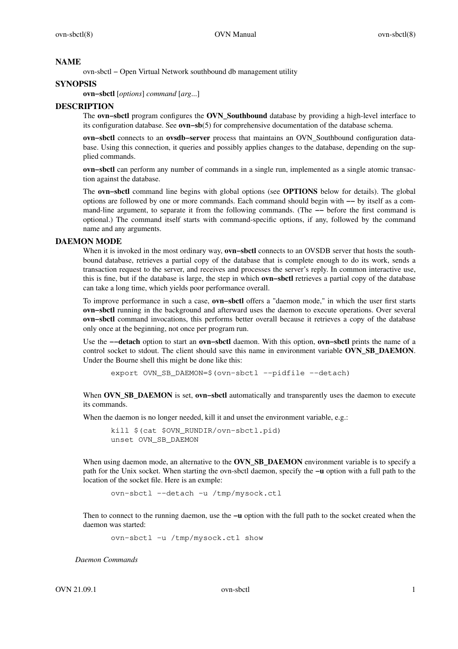#### **NAME**

ovn-sbctl − Open Virtual Network southbound db management utility

#### **SYNOPSIS**

**ovn−sbctl** [*options*] *command* [*arg*...]

#### **DESCRIPTION**

The **ovn−sbctl** program configures the **OVN\_Southbound** database by providing a high-level interface to its configuration database. See **ovn−sb**(5) for comprehensive documentation of the database schema.

**ovn–sbctl** connects to an **ovsdb–server** process that maintains an OVN\_Southbound configuration database. Using this connection, it queries and possibly applies changes to the database, depending on the supplied commands.

**ovn−sbctl** can perform any number of commands in a single run, implemented as a single atomic transaction against the database.

The **ovn−sbctl** command line begins with global options (see **OPTIONS** below for details). The global options are followed by one or more commands. Each command should begin with **−−** by itself as a command-line argument, to separate it from the following commands. (The **−−** before the first command is optional.) The command itself starts with command-specific options, if any, followed by the command name and any arguments.

#### **DAEMON MODE**

When it is invoked in the most ordinary way, **ovn−sbctl** connects to an OVSDB server that hosts the southbound database, retrieves a partial copy of the database that is complete enough to do its work, sends a transaction request to the server, and receives and processes the server's reply. In common interactive use, this is fine, but if the database is large, the step in which **ovn−sbctl** retrievesapartial copy of the database can take a long time, which yields poor performance overall.

To improve performance in such a case, **ovn−sbctl** offers a "daemon mode," in which the user first starts **ovn−sbctl** running in the background and afterward uses the daemon to execute operations. Over several **ovn–sbctl** command invocations, this performs better overall because it retrieves a copy of the database only once at the beginning, not once per program run.

Use the **−−detach** option to start an **ovn−sbctl** daemon. With this option, **ovn−sbctl** prints the name of a control socket to stdout. The client should save this name in environment variable **OVN\_SB\_DAEMON**. Under the Bourne shell this might be done like this:

```
export OVN_SB_DAEMON=$(ovn−sbctl −−pidfile −−detach)
```
When **OVN\_SB\_DAEMON** is set, **ovn−sbctl** automatically and transparently uses the daemon to execute its commands.

When the daemon is no longer needed, kill it and unset the environment variable, e.g.:

kill \$(cat \$OVN\_RUNDIR/ovn−sbctl.pid) unset OVN\_SB\_DAEMON

When using daemon mode, an alternative to the **OVN\_SB\_DAEMON** environment variable is to specify a path for the Unix socket. When starting the ovn-sbctl daemon, specify the **−u** option with a full path to the location of the socket file. Here is an exmple:

ovn−sbctl −−detach −u /tmp/mysock.ctl

Then to connect to the running daemon, use the **−u** option with the full path to the socket created when the daemon was started:

ovn−sbctl −u /tmp/mysock.ctl show

*Daemon Commands*

 $\text{OVN } 21.09.1$  ovn-sbctl  $\text{1}$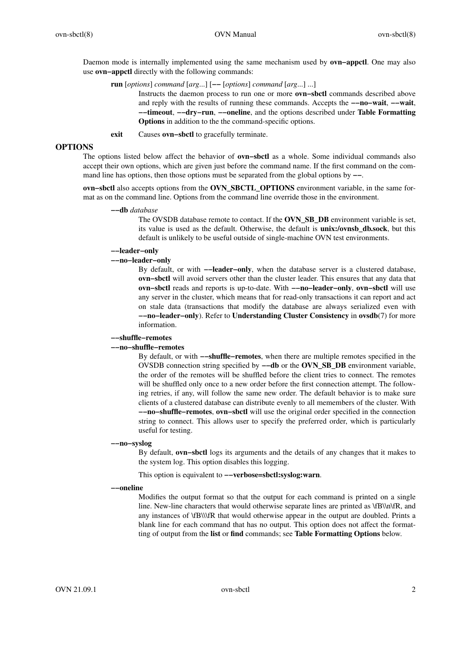Daemon mode is internally implemented using the same mechanism used by **ovn−appctl**. One may also use **ovn−appctl** directly with the following commands:

**run** [*options*] *command* [*arg*...] [**−−** [*options*] *command* [*arg*...] ...]

Instructs the daemon process to run one or more **ovn−sbctl** commands described above and reply with the results of running these commands. Accepts the **−−no−wait**, **−−wait**, **−−timeout**, **−−dry−run**, **−−oneline**, and the options described under **Table Formatting Options** in addition to the the command-specific options.

**exit** Causes **ovn−sbctl** to gracefully terminate.

#### **OPTIONS**

The options listed below affect the behavior of **ovn−sbctl** as a whole. Some individual commands also accept their own options, which are given just before the command name. If the first command on the command line has options, then those options must be separated from the global options by **−−**.

**ovn−sbctl** also accepts options from the **OVN\_SBCTL\_OPTIONS** environment variable, in the same format as on the command line. Options from the command line override those in the environment.

#### **−−db** *database*

The OVSDB database remote to contact. If the **OVN\_SB\_DB** environment variable is set, its value is used as the default. Otherwise, the default is **unix:/ovnsb\_db.sock**, but this default is unlikely to be useful outside of single-machine OVN test environments.

## **−−leader−only**

## **−−no−leader−only**

By default, or with **−−leader−only**, when the database server is a clustered database, **ovn−sbctl** will avoid servers other than the cluster leader. This ensures that any data that **ovn−sbctl** reads and reports is up-to-date. With **−−no−leader−only**, **ovn−sbctl** will use any server in the cluster, which means that for read-only transactions it can report and act on stale data (transactions that modify the database are always serialized even with **−−no−leader−only**). Refer to **Understanding Cluster Consistency** in **ovsdb**(7) for more information.

#### **−−shuffle−remotes**

### **−−no−shuffle−remotes**

By default, or with **−−shuffle−remotes**, when there are multiple remotes specified in the OVSDB connection string specified by **−−db** or the **OVN\_SB\_DB** environment variable, the order of the remotes will be shuffled before the client tries to connect. The remotes will be shuffled only once to a new order before the first connection attempt. The following retries, if any, will follow the same new order. The default behavior is to make sure clients of a clustered database can distribute evenly to all memembers of the cluster. With **−−no−shuffle−remotes**, **ovn−sbctl** will use the original order specified in the connection string to connect. This allows user to specify the preferred order, which is particularly useful for testing.

#### **−−no−syslog**

By default, **ovn−sbctl** logs its arguments and the details of any changes that it makes to the system log. This option disables this logging.

This option is equivalent to **−−verbose=sbctl:syslog:warn**.

#### **−−oneline**

Modifies the output format so that the output for each command is printed on a single line. New-line characters that would otherwise separate lines are printed as \fB\\n\fR, and any instances of \fB\\\fR that would otherwise appear in the output are doubled. Prints a blank line for each command that has no output. This option does not affect the formatting of output from the **list** or **find** commands; see **Table Formatting Options** below.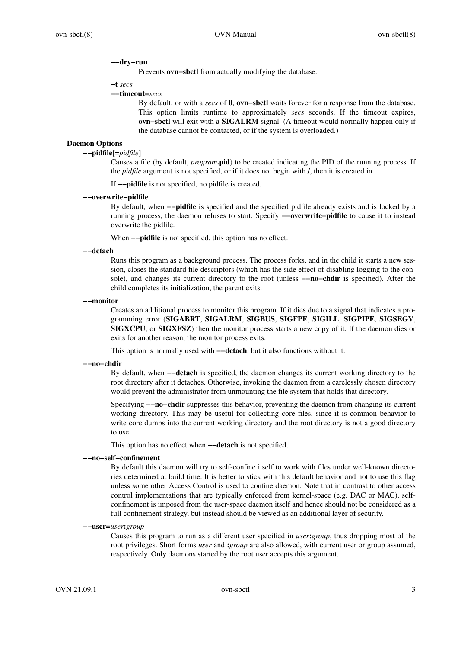## **−−dry−run**

Prevents **ovn−sbctl** from actually modifying the database.

**−t** *secs*

#### **−−timeout=***secs*

By default, or with a *secs* of **0**, **ovn−sbctl** waits forever for a response from the database. This option limits runtime to approximately *secs* seconds. If the timeout expires, **ovn−sbctl** will exit with a **SIGALRM** signal. (A timeout would normally happen only if the database cannot be contacted, or if the system is overloaded.)

## **Daemon Options**

## **−−pidfile**[**=***pidfile*]

Causes a file (by default, *program***.pid**) to be created indicating the PID of the running process. If the *pidfile* argument is not specified, or if it does not begin with **/**, then it is created in .

If **−−pidfile** is not specified, no pidfile is created.

## **−−overwrite−pidfile**

By default, when  $-\text{pidfile}$  is specified and the specified pidfile already exists and is locked by a running process, the daemon refuses to start. Specify **−−overwrite−pidfile** to cause it to instead overwrite the pidfile.

When **−−pidfile** is not specified, this option has no effect.

**−−detach**

Runs this program as a background process. The process forks, and in the child it starts a new session, closes the standard file descriptors (which has the side effect of disabling logging to the console), and changes its current directory to the root (unless **−−no−chdir** is specified). After the child completes its initialization, the parent exits.

#### **−−monitor**

Creates an additional process to monitor this program. If it dies due to a signal that indicates a programming error (**SIGABRT**, **SIGALRM**, **SIGBUS**, **SIGFPE**, **SIGILL**, **SIGPIPE**, **SIGSEGV**, **SIGXCPU**, or **SIGXFSZ**) then the monitor process starts a new copy of it. If the daemon dies or exits for another reason, the monitor process exits.

This option is normally used with **−−detach**, but it also functions without it.

#### **−−no−chdir**

By default, when **−−detach** is specified, the daemon changes its current working directory to the root directory after it detaches. Otherwise, invoking the daemon from a carelessly chosen directory would prevent the administrator from unmounting the file system that holds that directory.

Specifying **−−no−chdir** suppresses this behavior, preventing the daemon from changing its current working directory. This may be useful for collecting core files, since it is common behavior to write core dumps into the current working directory and the root directory is not a good directory to use.

This option has no effect when **−−detach** is not specified.

#### **−−no−self−confinement**

By default this daemon will try to self-confine itself to work with files under well-known directories determined at build time. It is better to stick with this default behavior and not to use this flag unless some other Access Control is used to confine daemon. Note that in contrast to other access control implementations that are typically enforced from kernel-space (e.g. DAC or MAC), selfconfinement is imposed from the user-space daemon itself and hence should not be considered as a full confinement strategy, but instead should be viewed as an additional layer of security.

#### **−−user=***user***:***group*

Causes this program to run as a different user specified in *user***:***group*, thus dropping most of the root privileges. Short forms *user* and **:***group* are also allowed, with current user or group assumed, respectively. Only daemons started by the root user accepts this argument.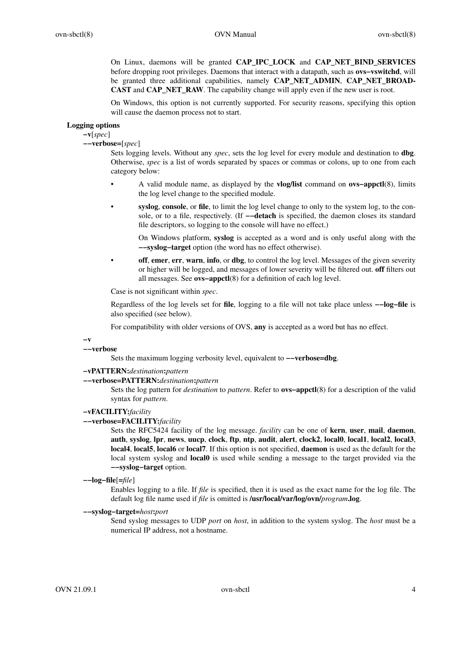On Linux, daemons will be granted **CAP\_IPC\_LOCK** and **CAP\_NET\_BIND\_SERVICES** before dropping root privileges. Daemons that interact with a datapath, such as **ovs−vswitchd**, will be granted three additional capabilities, namely **CAP\_NET\_ADMIN**, **CAP\_NET\_BROAD-CAST** and **CAP\_NET\_RAW**. The capability change will apply even if the new user is root.

On Windows, this option is not currently supported. For security reasons, specifying this option will cause the daemon process not to start.

### **Logging options**

**−v**[*spec*]

## **−−verbose=**[*spec*]

Sets logging levels. Without any *spec*, sets the log level for every module and destination to **dbg**. Otherwise, *spec* is a list of words separated by spaces or commas or colons, up to one from each category below:

- A valid module name, as displayed by the **vlog/list** command on **ovs−appctl**(8), limits the log level change to the specified module.
- **syslog**, **console**, or **file**, to limit the log level change to only to the system log, to the console, or to a file, respectively. (If **−−detach** is specified, the daemon closes its standard file descriptors, so logging to the console will have no effect.)

On Windows platform, **syslog** is accepted as a word and is only useful along with the **−−syslog−target** option (the word has no effect otherwise).

**off, emer, err, warn, info, or dbg**, to control the log level. Messages of the given severity or higher will be logged, and messages of lower severity will be filtered out. **off** filters out all messages. See **ovs−appctl**(8) for a definition of each log level.

Case is not significant within *spec*.

Regardless of the log levels set for **file**, logging to a file will not take place unless **−−log−file** is also specified (see below).

For compatibility with older versions of OVS, **any** is accepted as a word but has no effect.

#### **−v**

#### **−−verbose**

Sets the maximum logging verbosity level, equivalent to **−−verbose=dbg**.

## **−vPATTERN:***destination***:***pattern*

### **−−verbose=PATTERN:***destination***:***pattern*

Sets the log pattern for *destination* to *pattern*. Refer to **ovs−appctl**(8) for a description of the valid syntax for *pattern*.

#### **−vFACILITY:***facility*

#### **−−verbose=FACILITY:***facility*

Sets the RFC5424 facility of the log message. *facility* can be one of **kern**, **user**, **mail**, **daemon**, **auth**, **syslog**, **lpr**, **news**, **uucp**, **clock**, **ftp**, **ntp**, **audit**, **alert**, **clock2**, **local0**, **local1**, **local2**, **local3**, **local4**, **local5**, **local6** or **local7**. If this option is not specified, **daemon** is used as the default for the local system syslog and **local0** is used while sending a message to the target provided via the **−−syslog−target** option.

#### **−−log−file**[**=***file*]

Enables logging to a file. If *file* is specified, then it is used as the exact name for the log file. The default log file name used if *file* is omitted is **/usr/local/var/log/ovn/***program***.log**.

#### **−−syslog−target=***host***:***port*

Send syslog messages to UDP *port* on *host*, in addition to the system syslog. The *host* must be a numerical IP address, not a hostname.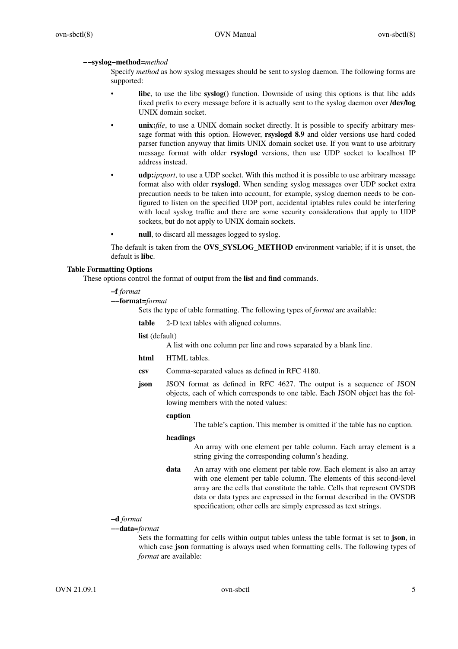## **−−syslog−method=***method*

Specify *method* as how syslog messages should be sent to syslog daemon. The following forms are supported:

- **libc**, to use the libc **syslog()** function. Downside of using this options is that libc adds fixed prefix to every message before it is actually sent to the syslog daemon over **/dev/log** UNIX domain socket.
- **unix:***file*, to use a UNIX domain socket directly. It is possible to specify arbitrary message format with this option. However, **rsyslogd 8.9** and older versions use hard coded parser function anyway that limits UNIX domain socket use. If you want to use arbitrary message format with older **rsyslogd** versions, then use UDP socket to localhost IP address instead.
- **udp:***ip***:***port*, to use a UDP socket. With this method it is possible to use arbitrary message format also with older **rsyslogd**. When sending syslog messages over UDP socket extra precaution needs to be taken into account, for example, syslog daemon needs to be configured to listen on the specified UDP port, accidental iptables rules could be interfering with local syslog traffic and there are some security considerations that apply to UDP sockets, but do not apply to UNIX domain sockets.
- null, to discard all messages logged to syslog.

The default is taken from the **OVS\_SYSLOG\_METHOD** environment variable; if it is unset, the default is **libc**.

## **Table Formatting Options**

These options control the format of output from the **list** and **find** commands.

### **−f** *format*

**−−format=***format*

Sets the type of table formatting. The following types of *format* are available:

**table** 2-D text tables with aligned columns.

**list** (default)

A list with one column per line and rows separated by a blank line.

- **html** HTML tables.
- **csv** Comma-separated values as defined in RFC 4180.
- **json** JSON format as defined in RFC 4627. The output is a sequence of JSON objects, each of which corresponds to one table. Each JSON object has the following members with the noted values:

### **caption**

The table's caption. This member is omitted if the table has no caption.

### **headings**

An array with one element per table column. Each array element is a string giving the corresponding column's heading.

**data** An array with one element per table row. Each element is also an array with one element per table column. The elements of this second-level array are the cells that constitute the table. Cells that represent OVSDB data or data types are expressed in the format described in the OVSDB specification; other cells are simply expressed as text strings.

# **−d** *format*

### **−−data=***format*

Sets the formatting for cells within output tables unless the table format is set to **json**, in which case **json** formatting is always used when formatting cells. The following types of *format* are available: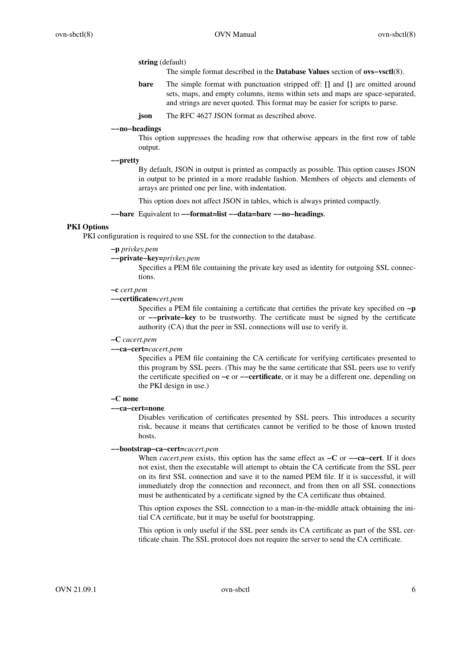### **string** (default)

The simple format described in the **Database Values** section of **ovs−vsctl**(8).

**bare** The simple format with punctuation stripped off: **[]** and **{}** are omitted around sets, maps, and empty columns, items within sets and maps are space-separated, and strings are never quoted. This format may be easier for scripts to parse.

**json** The RFC 4627 JSON format as described above.

#### **−−no−headings**

This option suppresses the heading row that otherwise appears in the first row of table output.

## **−−pretty**

By default, JSON in output is printed as compactly as possible. This option causes JSON in output to be printed in a more readable fashion. Members of objects and elements of arrays are printed one per line, with indentation.

This option does not affect JSON in tables, which is always printed compactly.

### **−−bare** Equivalent to **−−format=list −−data=bare −−no−headings**.

### **PKI Options**

PKI configuration is required to use SSL for the connection to the database.

## **−p** *privkey.pem*

## **−−private−key=***privkey.pem*

Specifies a PEM file containing the private key used as identity for outgoing SSL connections.

## **−c** *cert.pem*

## **−−certificate=***cert.pem*

Specifies a PEM file containing a certificate that certifies the private key specified on **−p** or **−−private−key** to be trustworthy. The certificate must be signed by the certificate authority (CA) that the peer in SSL connections will use to verify it.

#### **−C** *cacert.pem*

## **−−ca−cert=***cacert.pem*

Specifies a PEM file containing the CA certificate for verifying certificates presented to this program by SSL peers. (This may be the same certificate that SSL peers use to verify the certificate specified on **−c** or **−−certificate**, or it may be a different one, depending on the PKI design in use.)

#### **−C none**

#### **−−ca−cert=none**

Disables verification of certificates presented by SSL peers. This introduces a security risk, because it means that certificates cannot be verified to be those of known trusted hosts.

#### **−−bootstrap−ca−cert=***cacert.pem*

When *cacert.pem* exists, this option has the same effect as **−C** or **−−ca−cert**. If it does not exist, then the executable will attempt to obtain the CA certificate from the SSL peer on its first SSL connection and save it to the named PEM file. If it is successful, it will immediately drop the connection and reconnect, and from then on all SSL connections must be authenticated by a certificate signed by the CA certificate thus obtained.

This option exposes the SSL connection to a man-in-the-middle attack obtaining the initial CA certificate, but it may be useful for bootstrapping.

This option is only useful if the SSL peer sends its CA certificate as part of the SSL certificate chain. The SSL protocol does not require the server to send the CA certificate.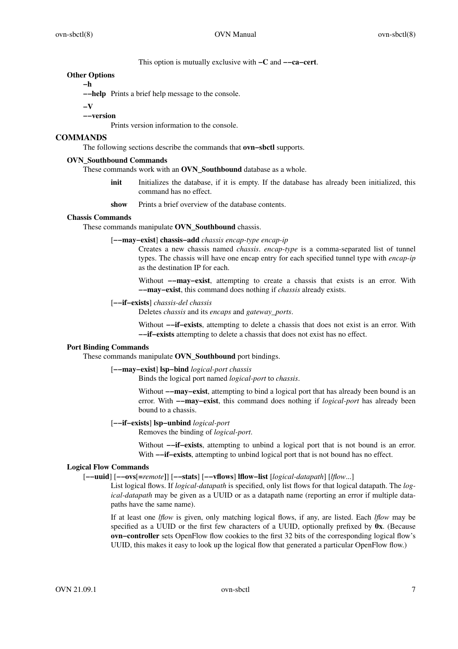This option is mutually exclusive with **−C** and **−−ca−cert**.

## **Other Options**

#### **−h**

**−−help** Prints a brief help message to the console.

**−V**

**−−version**

Prints version information to the console.

#### **COMMANDS**

The following sections describe the commands that **ovn−sbctl** supports.

#### **OVN\_Southbound Commands**

These commands work with an **OVN\_Southbound** database as a whole.

- **init** Initializes the database, if it is empty. If the database has already been initialized, this command has no effect.
- **show** Prints a brief overview of the database contents.

#### **Chassis Commands**

These commands manipulate **OVN\_Southbound** chassis.

[**−−may−exist**] **chassis−add** *chassis encap-type encap-ip*

Creates a new chassis named *chassis*. *encap-type* is a comma-separated list of tunnel types. The chassis will have one encap entry for each specified tunnel type with *encap-ip* as the destination IP for each.

Without **−−may−exist**, attempting to create a chassis that exists is an error. With **−−may−exist**, this command does nothing if *chassis* already exists.

[**−−if−exists**] *chassis-del chassis*

Deletes *chassis* and its *encaps* and *gateway\_ports*.

Without  $-\textbf{-if}-\textbf{exists}$ , attempting to delete a chassis that does not exist is an error. With **−−if−exists** attempting to delete a chassis that does not exist has no effect.

### **Port Binding Commands**

These commands manipulate **OVN\_Southbound** port bindings.

## [**−−may−exist**] **lsp−bind** *logical-port chassis*

Binds the logical port named *logical-port* to *chassis*.

Without **−−may−exist**, attempting to bind a logical port that has already been bound is an error. With **−−may−exist**, this command does nothing if *logical-port* has already been bound to a chassis.

[**−−if−exists**] **lsp−unbind** *logical-port*

Removes the binding of *logical-port*.

Without **−−if−exists**, attempting to unbind a logical port that is not bound is an error. With **−−if−exists**, attempting to unbind logical port that is not bound has no effect.

## **Logical Flow Commands**

[**−−uuid**] [**−−ovs**[**=***remote***]**] [**−−stats**] [**−−vflows**] **lflow−list** [*logical-datapath*] [*lflow*...]

List logical flows. If *logical-datapath* is specified, only list flows for that logical datapath. The *logical-datapath* may be given as a UUID or as a datapath name (reporting an error if multiple datapaths have the same name).

If at least one *lflow* is given, only matching logical flows, if any, are listed. Each *lflow* may be specified as a UUID or the first few characters of a UUID, optionally prefixed by **0x**. (Because **ovn−controller** sets OpenFlow flow cookies to the first 32 bits of the corresponding logical flow's UUID, this makes it easy to look up the logical flow that generated a particular OpenFlow flow.)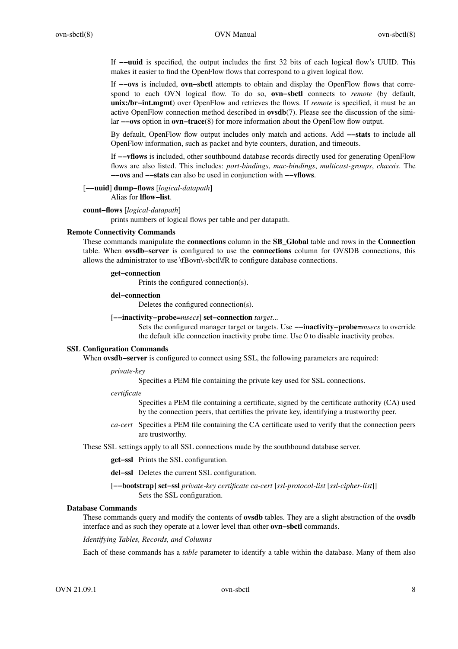If **−−uuid** is specified, the output includes the first 32 bits of each logical flow's UUID. This makes it easier to find the OpenFlow flows that correspond to a given logical flow.

If **−−ovs** is included, **ovn−sbctl** attempts to obtain and display the OpenFlow flows that correspond to each OVN logical flow. To do so, **ovn−sbctl** connects to *remote* (by default, **unix:/br−int.mgmt**) over OpenFlow and retrieves the flows. If *remote* is specified, it must be an active OpenFlow connection method described in **ovsdb**(7). Please see the discussion of the similar **−−ovs** option in **ovn−trace**(8) for more information about the OpenFlow flow output.

By default, OpenFlow flow output includes only match and actions. Add **−−stats** to include all OpenFlow information, such as packet and byte counters, duration, and timeouts.

If **−−vflows** is included, other southbound database records directly used for generating OpenFlow flows are also listed. This includes: *port-bindings*, *mac-bindings*, *multicast-groups*, *chassis*. The **−−ovs** and **−−stats** can also be used in conjunction with **−−vflows**.

#### [**−−uuid**] **dump−flows** [*logical-datapath*] Alias for **lflow−list**.

## **count−flows** [*logical-datapath*]

prints numbers of logical flows per table and per datapath.

## **Remote Connectivity Commands**

These commands manipulate the **connections** column in the **SB\_Global** table and rows in the **Connection** table. When **ovsdb−server** is configured to use the **connections** column for OVSDB connections, this allows the administrator to use \fBovn\-sbctl\fR to configure database connections.

## **get−connection**

Prints the configured connection(s).

### **del−connection**

Deletes the configured connection(s).

### [**−−inactivity−probe=***msecs*] **set−connection** *target*...

Sets the configured manager target or targets. Use **−−inactivity−probe=***msecs* to override the default idle connection inactivity probe time. Use 0 to disable inactivity probes.

## **SSL Configuration Commands**

When **ovsdb−server** is configured to connect using SSL, the following parameters are required:

### *private-key*

Specifies a PEM file containing the private key used for SSL connections.

### *certificate*

Specifies a PEM file containing a certificate, signed by the certificate authority (CA) used by the connection peers, that certifies the private key, identifying a trustworthy peer.

*ca-cert* Specifies a PEM file containing the CA certificate used to verify that the connection peers are trustworthy.

These SSL settings apply to all SSL connections made by the southbound database server.

- **get−ssl** Prints the SSL configuration.
- **del−ssl** Deletes the current SSL configuration.

## [**−−bootstrap**] **set−ssl** *private-key certificate ca-cert* [*ssl-protocol-list* [*ssl-cipher-list*]] Sets the SSL configuration.

## **Database Commands**

These commands query and modify the contents of **ovsdb** tables. They are a slight abstraction of the **ovsdb** interface and as such they operate at a lower level than other **ovn−sbctl** commands.

## *Identifying Tables, Records, and Columns*

Each of these commands has a *table* parameter to identify a table within the database. Many of them also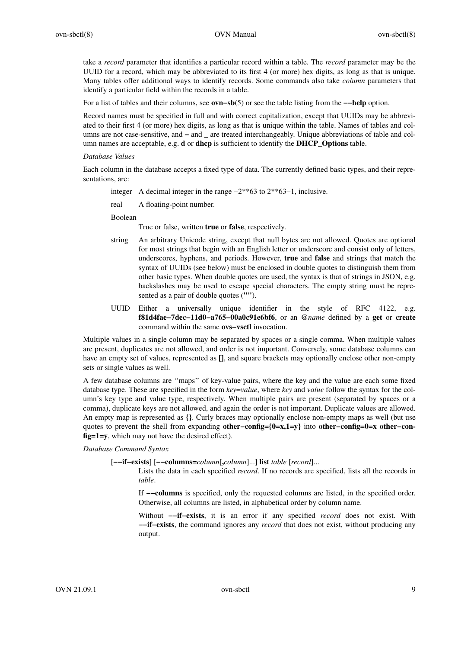take a *record* parameter that identifies a particular record within a table. The *record* parameter may be the UUID for a record, which may be abbreviated to its first 4 (or more) hex digits, as long as that is unique. Many tables offer additional ways to identify records. Some commands also take *column* parameters that identify a particular field within the records in a table.

Foralist of tables and their columns, see **ovn−sb**(5) or see the table listing from the **−−help** option.

Record names must be specified in full and with correct capitalization, except that UUIDs may be abbreviated to their first 4 (or more) hex digits, as long as that is unique within the table. Names of tables and columns are not case-sensitive, and **−** and **\_** are treated interchangeably. Unique abbreviations of table and column names are acceptable, e.g. **d** or **dhcp** is sufficient to identify the **DHCP\_Options** table.

#### *Database Values*

Each column in the database accepts a fixed type of data. The currently defined basic types, and their representations, are:

- integer A decimal integer in the range −2\*\*63 to 2\*\*63−1, inclusive.
- real A floating-point number.

Boolean

True or false, written **true** or **false**, respectively.

- string An arbitrary Unicode string, except that null bytes are not allowed. Quotes are optional for most strings that begin with an English letter or underscore and consist only of letters, underscores, hyphens, and periods. However, **true** and **false** and strings that match the syntax of UUIDs (see below) must be enclosed in double quotes to distinguish them from other basic types. When double quotes are used, the syntax is that of strings in JSON, e.g. backslashes may be used to escape special characters. The empty string must be represented as a pair of double quotes (**""**).
- UUID Either a universally unique identifier in the style of RFC 4122, e.g. **f81d4fae−7dec−11d0−a765−00a0c91e6bf6**, or an **@***name* defined by a **get** or **create** command within the same **ovs−vsctl** invocation.

Multiple values in a single column may be separated by spaces or a single comma. When multiple values are present, duplicates are not allowed, and order is not important. Conversely, some database columns can have an empty set of values, represented as **[]**, and square brackets may optionally enclose other non-empty sets or single values as well.

A few database columns are ''maps'' of key-value pairs, where the key and the value are each some fixed database type. These are specified in the form *key***=***value*, where *key* and *value* follow the syntax for the column's key type and value type, respectively. When multiple pairs are present (separated by spaces or a comma), duplicate keys are not allowed, and again the order is not important. Duplicate values are allowed. An empty map is represented as **{}**. Curly braces may optionally enclose non-empty maps as well (but use quotes to prevent the shell from expanding **other−config={0=x,1=y}** into **other−config=0=x other−config=1=y**, which may not have the desired effect).

#### *Database Command Syntax*

[**−−if−exists**] [**−−columns=***column*[**,***column*]...] **list** *table* [*record*]...

Lists the data in each specified *record*. If no records are specified, lists all the records in *table*.

If **−−columns** is specified, only the requested columns are listed, in the specified order. Otherwise, all columns are listed, in alphabetical order by column name.

Without **−−if−exists**, it is an error if any specified *record* does not exist. With **−−if−exists**, the command ignores any *record* that does not exist, without producing any output.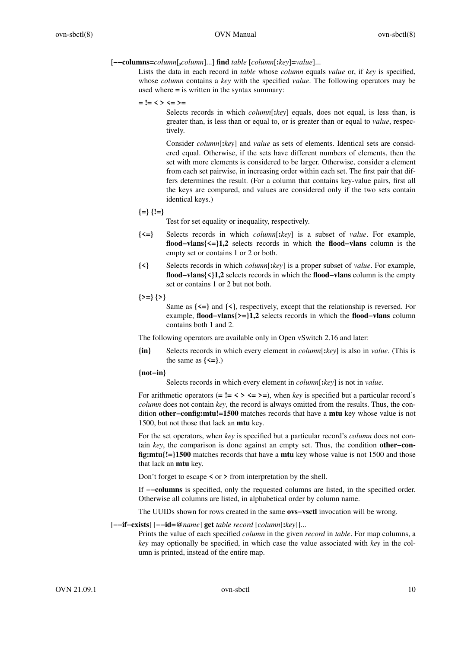[**−−columns=***column*[**,***column*]...] **find** *table* [*column*[**:***key*]**=***value*]...

Lists the data in each record in *table* whose *column* equals *value* or, if *key* is specified, whose *column* contains a *key* with the specified *value*. The following operators may be used where **=** is written in the syntax summary:

**= != < > <= >=**

Selects records in which *column*[**:***key*] equals, does not equal, is less than, is greater than, is less than or equal to, or is greater than or equal to *value*, respectively.

Consider *column*[**:***key*] and *value* as sets of elements. Identical sets are considered equal. Otherwise, if the sets have different numbers of elements, then the set with more elements is considered to be larger. Otherwise, consider a element from each set pairwise, in increasing order within each set. The first pair that differs determines the result. (For a column that contains key-value pairs, first all the keys are compared, and values are considered only if the two sets contain identical keys.)

```
{=} {!=}
```
Test for set equality or inequality, respectively.

- **{<=}** Selects records in which *column*[**:***key*] is a subset of *value*. For example, **flood−vlans{<=}1,2** selects records in which the **flood−vlans** column is the empty set or contains 1 or 2 or both.
- **{<}** Selects records in which *column*[**:***key*] is a proper subset of *value*. For example, **flood−vlans{<}1,2** selects records in which the **flood−vlans** column is the empty set or contains 1 or 2 but not both.
- **{>=} {>}**

Same as **{<=}** and **{<}**, respectively, except that the relationship is reversed. For example, **flood−vlans{>=}1,2** selects records in which the **flood−vlans** column contains both 1 and 2.

The following operators are available only in Open vSwitch 2.16 and later:

**{in}** Selects records in which every element in *column*[**:***key*] is also in *value*. (This is the same as  $\{\leq =\}$ .)

**{not−in}**

Selects records in which every element in *column*[**:***key*] is not in *value*.

For arithmetic operators  $(= \mathbf{!=} \langle \rangle \langle = \rangle = \rangle)$ , when *key* is specified but a particular record's *column* does not contain *key*, the record is always omitted from the results. Thus, the condition **other−config:mtu!=1500** matches records that have a **mtu** key whose value is not 1500, but not those that lack an **mtu** key.

For the set operators, when *key* is specified but a particular record's *column* does not contain *key*, the comparison is done against an empty set. Thus, the condition **other−config:mtu{!=}1500** matches records that have a **mtu** key whose value is not 1500 and those that lack an **mtu** key.

Don't forget to escape **<** or **>** from interpretation by the shell.

If **−−columns** is specified, only the requested columns are listed, in the specified order. Otherwise all columns are listed, in alphabetical order by column name.

The UUIDs shown for rows created in the same **ovs−vsctl** invocation will be wrong.

[**−−if−exists**] [**−−id=@***name*] **get** *table record* [*column*[**:***key*]]...

Prints the value of each specified *column* in the given *record* in *table*. For map columns, a *key* may optionally be specified, in which case the value associated with *key* in the column is printed, instead of the entire map.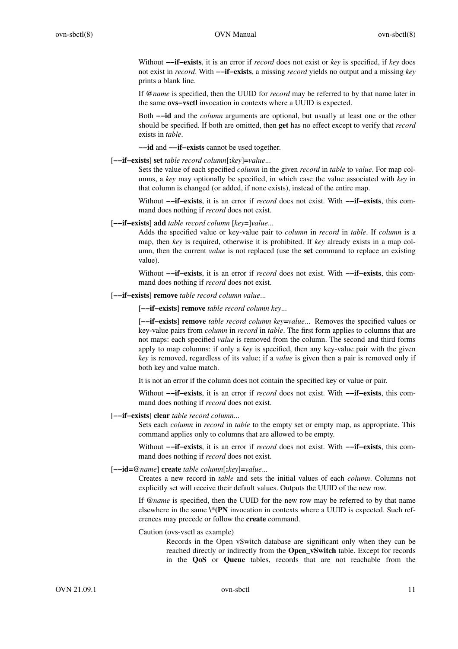Without **−−if−exists**, it is an error if *record* does not exist or *key* is specified, if *key* does not exist in *record*. With **−−if−exists**,amissing *record* yields no output and a missing *key* prints a blank line.

If **@***name* is specified, then the UUID for *record* may be referred to by that name later in the same **ovs−vsctl** invocation in contexts where a UUID is expected.

Both **−−id** and the *column* arguments are optional, but usually at least one or the other should be specified. If both are omitted, then **get** has no effect except to verify that *record* exists in *table*.

**−−id** and **−−if−exists** cannot be used together.

[**−−if−exists**] **set** *table record column*[**:***key*]**=***value*...

Sets the value of each specified *column* in the given *record* in *table* to *value*. For map columns, a *key* may optionally be specified, in which case the value associated with *key* in that column is changed (or added, if none exists), instead of the entire map.

Without **−−if−exists**, it is an error if *record* does not exist. With **−−if−exists**, this command does nothing if *record* does not exist.

## [**−−if−exists**] **add** *table record column* [*key***=**]*value*...

Adds the specified value or key-value pair to *column* in *record* in *table*. If *column* is a map, then *key* is required, otherwise it is prohibited. If *key* already exists in a map column, then the current *value* is not replaced (use the **set** command to replace an existing value).

Without **−−if−exists**, it is an error if *record* does not exist. With **−−if−exists**, this command does nothing if *record* does not exist.

[**−−if−exists**] **remove** *table record column value*...

[**−−if−exists**] **remove** *table record column key*...

[**−−if−exists**] **remove** *table record column key***=***value*... Removes the specified values or key-value pairs from *column* in *record* in *table*. The first form applies to columns that are not maps: each specified *value* is removed from the column. The second and third forms apply to map columns: if only a *key* is specified, then any key-value pair with the given *key* is removed, regardless of its value; if a *value* is given then a pair is removed only if both key and value match.

It is not an error if the column does not contain the specified key or value or pair.

Without **−−if−exists**, it is an error if *record* does not exist. With **−−if−exists**, this command does nothing if *record* does not exist.

#### [**−−if−exists**] **clear** *table record column*...

Sets each *column* in *record* in *table* to the empty set or empty map, as appropriate. This command applies only to columns that are allowed to be empty.

Without **−−if−exists**, it is an error if *record* does not exist. With **−−if−exists**, this command does nothing if *record* does not exist.

#### [**−−id=@***name*] **create** *table column*[**:***key*]**=***value*...

Creates a new record in *table* and sets the initial values of each *column*. Columns not explicitly set will receive their default values. Outputs the UUID of the new row.

If **@***name* is specified, then the UUID for the new row may be referred to by that name elsewhere in the same **\\*(PN** invocation in contexts where a UUID is expected. Such references may precede or follow the **create** command.

Caution (ovs-vsctl as example)

Records in the Open vSwitch database are significant only when they can be reached directly or indirectly from the **Open\_vSwitch** table. Except for records in the **QoS** or **Queue** tables, records that are not reachable from the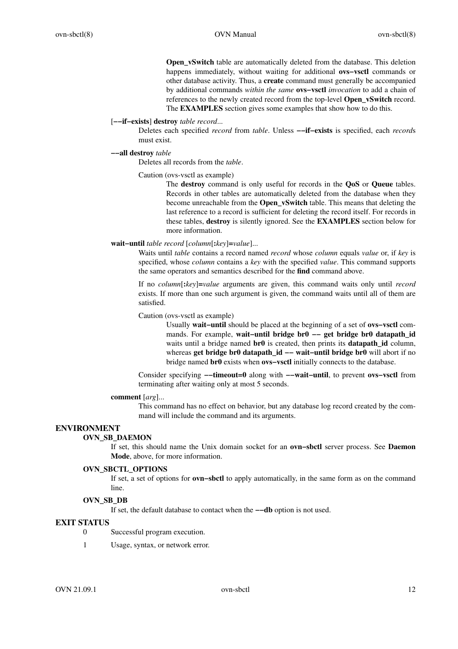**Open\_vSwitch** table are automatically deleted from the database. This deletion happens immediately, without waiting for additional **ovs−vsctl** commands or other database activity. Thus, a **create** command must generally be accompanied by additional commands *within the same* **ovs−vsctl** *invocation* to add a chain of references to the newly created record from the top-level **Open\_vSwitch** record. The **EXAMPLES** section gives some examples that show how to do this.

## [**−−if−exists**] **destroy** *table record*...

Deletes each specified *record* from *table*. Unless **−−if−exists** is specified, each *record*s must exist.

#### **−−all destroy** *table*

Deletes all records from the *table*.

Caution (ovs-vsctl as example)

The **destroy** command is only useful for records in the **QoS** or **Queue** tables. Records in other tables are automatically deleted from the database when they become unreachable from the **Open\_vSwitch** table. This means that deleting the last reference to a record is sufficient for deleting the record itself. For records in these tables, **destroy** is silently ignored. See the **EXAMPLES** section below for more information.

#### **wait−until** *table record* [*column*[**:***key*]**=***value*]...

Waits until *table* contains a record named *record* whose *column* equals *value* or, if *key* is specified, whose *column* contains a *key* with the specified *value*. This command supports the same operators and semantics described for the **find** command above.

If no *column*[**:***key*]**=***value* arguments are given, this command waits only until *record* exists. If more than one such argument is given, the command waits until all of them are satisfied.

Caution (ovs-vsctl as example)

Usually **wait−until** should be placed at the beginning of a set of **ovs−vsctl** commands. For example, **wait−until bridge br0 −− get bridge br0 datapath\_id** waits until a bridge named **br0** is created, then prints its **datapath id** column, whereas **get bridge br0 datapath id −− wait–until bridge br0** will abort if no bridge named **br0** exists when **ovs−vsctl** initially connects to the database.

Consider specifying **−−timeout=0** along with **−−wait−until**, to prevent **ovs−vsctl** from terminating after waiting only at most 5 seconds.

#### **comment** [*arg*]...

This command has no effect on behavior, but any database log record created by the command will include the command and its arguments.

## **ENVIRONMENT**

## **OVN\_SB\_DAEMON**

If set, this should name the Unix domain socket for an **ovn−sbctl** server process. See **Daemon Mode**, above, for more information.

#### **OVN\_SBCTL\_OPTIONS**

If set, a set of options for **ovn−sbctl** to apply automatically, in the same form as on the command line.

### **OVN\_SB\_DB**

If set, the default database to contact when the **−−db** option is not used.

# **EXIT STATUS**

- 0 Successful program execution.
- 1 Usage, syntax, or network error.